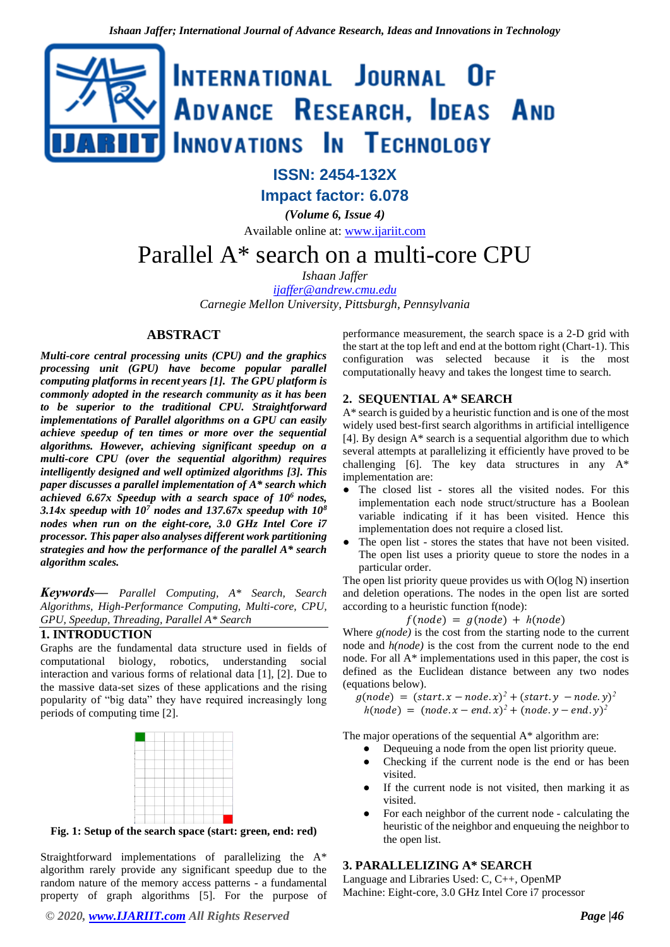

## **ISSN: 2454-132X**

**Impact factor: 6.078**

*(Volume 6, Issue 4)* Available online at: [www.ijariit.com](http://www.ijariit.com/)

# Parallel A\* search on a multi-core CPU

*Ishaan Jaffer [ijaffer@andrew.cmu.edu](mailto:ijaffer@andrew.cmu.edu)*

*Carnegie Mellon University, Pittsburgh, Pennsylvania*

## **ABSTRACT**

*Multi-core central processing units (CPU) and the graphics processing unit (GPU) have become popular parallel computing platforms in recent years [1]. The GPU platform is commonly adopted in the research community as it has been to be superior to the traditional CPU. Straightforward implementations of Parallel algorithms on a GPU can easily achieve speedup of ten times or more over the sequential algorithms. However, achieving significant speedup on a multi-core CPU (over the sequential algorithm) requires intelligently designed and well optimized algorithms [3]. This paper discusses a parallel implementation of A\* search which achieved 6.67x Speedup with a search space of 10<sup>6</sup>nodes, 3.14x speedup with 10<sup>7</sup> nodes and 137.67x speedup with 10<sup>8</sup> nodes when run on the eight-core, 3.0 GHz Intel Core i7 processor. This paper also analyses different work partitioning strategies and how the performance of the parallel A\* search algorithm scales.* 

*Keywords⸻ Parallel Computing, A\* Search, Search Algorithms, High-Performance Computing, Multi-core, CPU, GPU, Speedup, Threading, Parallel A\* Search*

#### **1. INTRODUCTION**

Graphs are the fundamental data structure used in fields of computational biology, robotics, understanding social interaction and various forms of relational data [1], [2]. Due to the massive data-set sizes of these applications and the rising popularity of "big data" they have required increasingly long periods of computing time [2].



**Fig. 1: Setup of the search space (start: green, end: red)**

Straightforward implementations of parallelizing the A\* algorithm rarely provide any significant speedup due to the random nature of the memory access patterns - a fundamental property of graph algorithms [5]. For the purpose of performance measurement, the search space is a 2-D grid with the start at the top left and end at the bottom right (Chart-1). This configuration was selected because it is the most computationally heavy and takes the longest time to search.

#### **2. SEQUENTIAL A\* SEARCH**

A\* search is guided by a heuristic function and is one of the most widely used best-first search algorithms in artificial intelligence [4]. By design  $A^*$  search is a sequential algorithm due to which several attempts at parallelizing it efficiently have proved to be challenging [6]. The key data structures in any  $A^*$ implementation are:

- The closed list stores all the visited nodes. For this implementation each node struct/structure has a Boolean variable indicating if it has been visited. Hence this implementation does not require a closed list.
- The open list stores the states that have not been visited. The open list uses a priority queue to store the nodes in a particular order.

The open list priority queue provides us with O(log N) insertion and deletion operations. The nodes in the open list are sorted according to a heuristic function f(node):

$$
f(node) = g(node) + h(node)
$$

Where *g(node)* is the cost from the starting node to the current node and *h(node)* is the cost from the current node to the end node. For all A\* implementations used in this paper, the cost is defined as the Euclidean distance between any two nodes (equations below).

 $g(node) = (start.x - node.x)^2 + (start.y - node.y)^2$  $h(node) = (node.x - end.x)^2 + (node.y - end.y)^2$ 

The major operations of the sequential A\* algorithm are:

- Dequeuing a node from the open list priority queue.
- Checking if the current node is the end or has been visited.
- If the current node is not visited, then marking it as visited.
- For each neighbor of the current node calculating the heuristic of the neighbor and enqueuing the neighbor to the open list.

#### **3. PARALLELIZING A\* SEARCH**

Language and Libraries Used: C, C++, OpenMP Machine: Eight-core, 3.0 GHz Intel Core i7 processor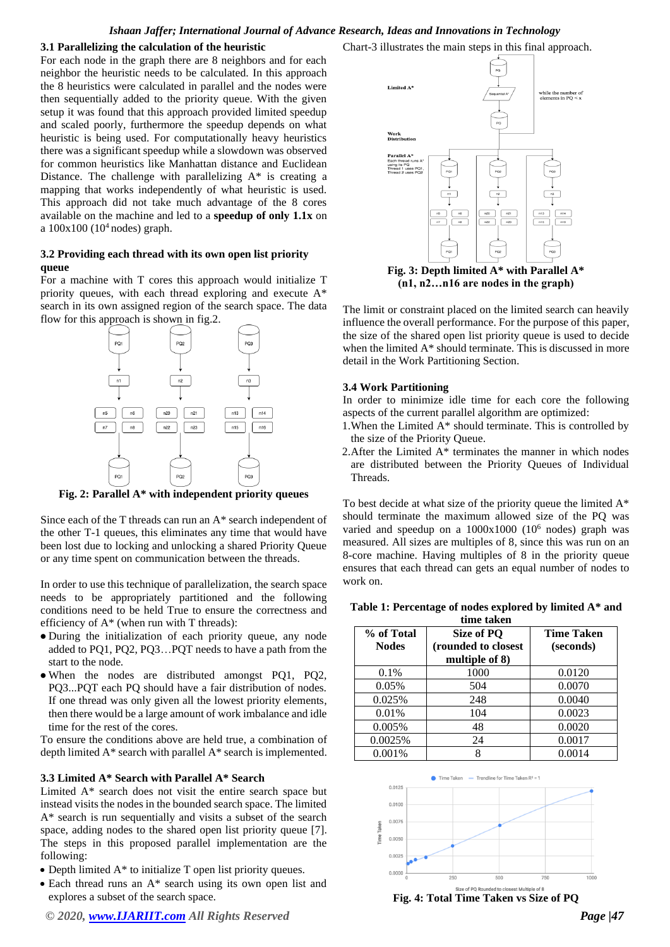#### *Ishaan Jaffer; International Journal of Advance Research, Ideas and Innovations in Technology*

#### **3.1 Parallelizing the calculation of the heuristic**

For each node in the graph there are 8 neighbors and for each neighbor the heuristic needs to be calculated. In this approach the 8 heuristics were calculated in parallel and the nodes were then sequentially added to the priority queue. With the given setup it was found that this approach provided limited speedup and scaled poorly, furthermore the speedup depends on what heuristic is being used. For computationally heavy heuristics there was a significant speedup while a slowdown was observed for common heuristics like Manhattan distance and Euclidean Distance. The challenge with parallelizing A\* is creating a mapping that works independently of what heuristic is used. This approach did not take much advantage of the 8 cores available on the machine and led to a **speedup of only 1.1x** on a  $100x100$  ( $10<sup>4</sup>$  nodes) graph.

### **3.2 Providing each thread with its own open list priority queue**

For a machine with T cores this approach would initialize T priority queues, with each thread exploring and execute A\* search in its own assigned region of the search space. The data flow for this approach is shown in fig.2.



**Fig. 2: Parallel A\* with independent priority queues** 

Since each of the T threads can run an A\* search independent of the other T-1 queues, this eliminates any time that would have been lost due to locking and unlocking a shared Priority Queue or any time spent on communication between the threads.

In order to use this technique of parallelization, the search space needs to be appropriately partitioned and the following conditions need to be held True to ensure the correctness and efficiency of  $A^*$  (when run with T threads):

- During the initialization of each priority queue, any node added to PQ1, PQ2, PQ3…PQT needs to have a path from the start to the node.
- When the nodes are distributed amongst PO1, PO2, PQ3...PQT each PQ should have a fair distribution of nodes. If one thread was only given all the lowest priority elements, then there would be a large amount of work imbalance and idle time for the rest of the cores.

To ensure the conditions above are held true, a combination of depth limited A\* search with parallel A\* search is implemented.

## **3.3 Limited A\* Search with Parallel A\* Search**

Limited A\* search does not visit the entire search space but instead visits the nodes in the bounded search space. The limited A\* search is run sequentially and visits a subset of the search space, adding nodes to the shared open list priority queue [7]. The steps in this proposed parallel implementation are the following:

- Depth limited A\* to initialize T open list priority queues.
- Each thread runs an A\* search using its own open list and explores a subset of the search space.
- *© 2020, [www.IJARIIT.com](file:///C:/omak/Downloads/www.IJARIIT.com) All Rights Reserved Page |47*

Chart-3 illustrates the main steps in this final approach.



**(n1, n2…n16 are nodes in the graph)**

The limit or constraint placed on the limited search can heavily influence the overall performance. For the purpose of this paper, the size of the shared open list priority queue is used to decide when the limited A\* should terminate. This is discussed in more detail in the Work Partitioning Section.

#### **3.4 Work Partitioning**

In order to minimize idle time for each core the following aspects of the current parallel algorithm are optimized:

- 1.When the Limited A\* should terminate. This is controlled by the size of the Priority Queue.
- 2. After the Limited  $A^*$  terminates the manner in which nodes are distributed between the Priority Queues of Individual Threads.

To best decide at what size of the priority queue the limited A\* should terminate the maximum allowed size of the PQ was varied and speedup on a  $1000x1000$  (10<sup>6</sup> nodes) graph was measured. All sizes are multiples of 8, since this was run on an 8-core machine. Having multiples of 8 in the priority queue ensures that each thread can gets an equal number of nodes to work on.

#### **Table 1: Percentage of nodes explored by limited A\* and**

| time taken                 |                                        |                   |  |  |  |  |  |
|----------------------------|----------------------------------------|-------------------|--|--|--|--|--|
| % of Total<br><b>Nodes</b> | Size of PQ                             | <b>Time Taken</b> |  |  |  |  |  |
|                            | (rounded to closest)<br>multiple of 8) | (seconds)         |  |  |  |  |  |
| 0.1%                       | 1000                                   | 0.0120            |  |  |  |  |  |
| 0.05%                      | 504                                    | 0.0070            |  |  |  |  |  |
| 0.025%                     | 248                                    | 0.0040            |  |  |  |  |  |
| 0.01%                      | 104                                    | 0.0023            |  |  |  |  |  |
| 0.005%                     | 48                                     | 0.0020            |  |  |  |  |  |
| 0.0025%                    | 24                                     | 0.0017            |  |  |  |  |  |
| $0.001\%$                  |                                        | 0.0014            |  |  |  |  |  |

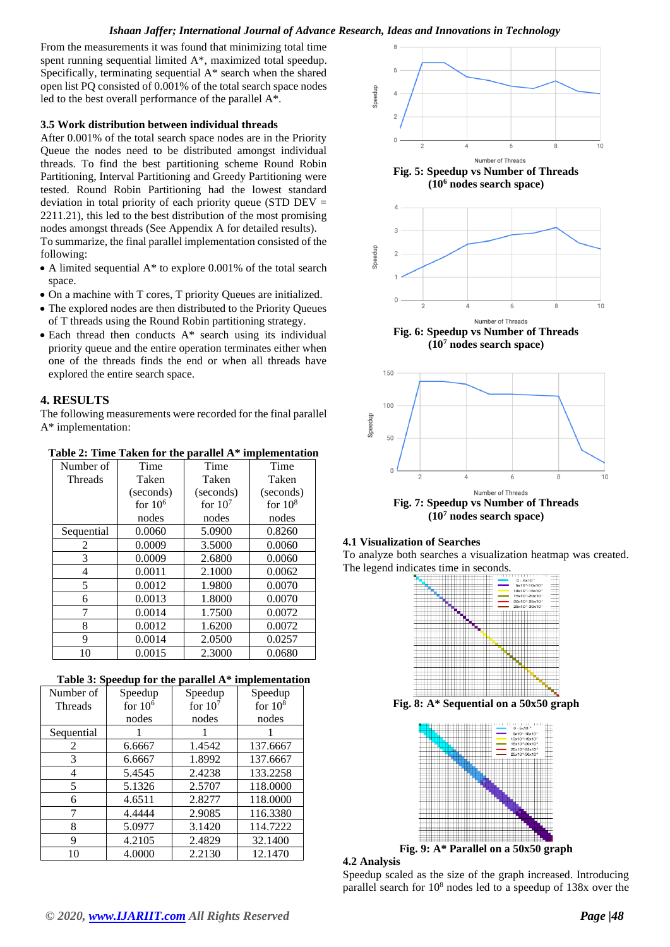#### *Ishaan Jaffer; International Journal of Advance Research, Ideas and Innovations in Technology*

From the measurements it was found that minimizing total time spent running sequential limited A\*, maximized total speedup. Specifically, terminating sequential A\* search when the shared open list PQ consisted of 0.001% of the total search space nodes led to the best overall performance of the parallel A\*.

## **3.5 Work distribution between individual threads**

After 0.001% of the total search space nodes are in the Priority Queue the nodes need to be distributed amongst individual threads. To find the best partitioning scheme Round Robin Partitioning, Interval Partitioning and Greedy Partitioning were tested. Round Robin Partitioning had the lowest standard deviation in total priority of each priority queue (STD DEV = 2211.21), this led to the best distribution of the most promising nodes amongst threads (See Appendix A for detailed results).

To summarize, the final parallel implementation consisted of the following:

- A limited sequential A\* to explore 0.001% of the total search space.
- On a machine with T cores, T priority Queues are initialized.
- The explored nodes are then distributed to the Priority Queues of T threads using the Round Robin partitioning strategy.
- Each thread then conducts A\* search using its individual priority queue and the entire operation terminates either when one of the threads finds the end or when all threads have explored the entire search space.

#### **4. RESULTS**

The following measurements were recorded for the final parallel A\* implementation:

**Table 2: Time Taken for the parallel A\* implementation**

| Number of  | Time      | Time      | Time      |  |
|------------|-----------|-----------|-----------|--|
| Threads    | Taken     | Taken     | Taken     |  |
|            | (seconds) | (seconds) | (seconds) |  |
|            | for $106$ | for $107$ | for $108$ |  |
|            | nodes     | nodes     | nodes     |  |
| Sequential | 0.0060    | 5.0900    | 0.8260    |  |
| 2          | 0.0009    | 3.5000    | 0.0060    |  |
| 3          | 0.0009    | 2.6800    | 0.0060    |  |
| 4          | 0.0011    | 2.1000    | 0.0062    |  |
| 5          | 0.0012    | 1.9800    | 0.0070    |  |
| 6          | 0.0013    | 1.8000    | 0.0070    |  |
|            | 0.0014    | 1.7500    | 0.0072    |  |
| 8          | 0.0012    | 1.6200    | 0.0072    |  |
| 9          | 0.0014    | 2.0500    | 0.0257    |  |
| 10         | 0.0015    | 2.3000    | 0.0680    |  |

|--|

| Number of      | Speedup   | Speedup   | Speedup   |  |
|----------------|-----------|-----------|-----------|--|
| <b>Threads</b> | for $106$ | for $107$ | for $108$ |  |
|                | nodes     | nodes     | nodes     |  |
| Sequential     |           |           |           |  |
| 2              | 6.6667    | 1.4542    | 137.6667  |  |
| 3              | 6.6667    | 1.8992    | 137.6667  |  |
| 4              | 5.4545    | 2.4238    | 133.2258  |  |
| 5              | 5.1326    | 2.5707    | 118.0000  |  |
| 6              | 4.6511    | 2.8277    | 118.0000  |  |
|                | 4.4444    | 2.9085    | 116.3380  |  |
| 8              | 5.0977    | 3.1420    | 114.7222  |  |
| 9              | 4.2105    | 2.4829    | 32.1400   |  |
| 10             | 4.0000    | 2.2130    | 12.1470   |  |





**(10<sup>7</sup> nodes search space)**

#### **4.1 Visualization of Searches**

To analyze both searches a visualization heatmap was created. The legend indicates time in seconds.



**4.2 Analysis** 

Speedup scaled as the size of the graph increased. Introducing parallel search for 10<sup>8</sup> nodes led to a speedup of 138x over the